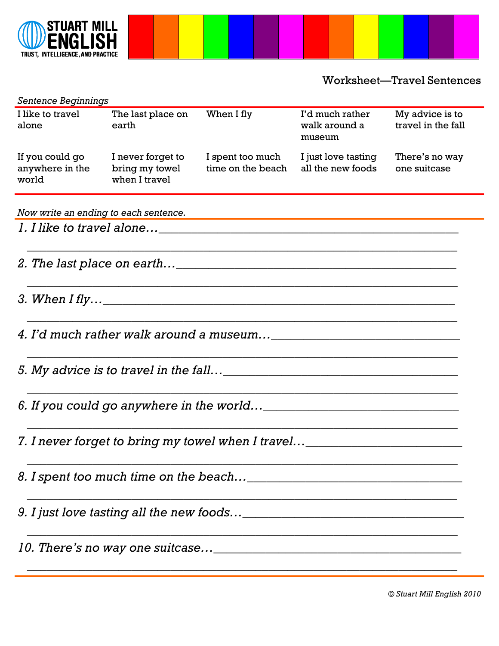

Worksheet—Travel Sentences

| <b>Sentence Beginnings</b>                                                    |                                                      |                                       |                                            |                                       |  |  |  |  |
|-------------------------------------------------------------------------------|------------------------------------------------------|---------------------------------------|--------------------------------------------|---------------------------------------|--|--|--|--|
| I like to travel<br>alone                                                     | The last place on<br>earth                           | When I fly                            | I'd much rather<br>walk around a<br>museum | My advice is to<br>travel in the fall |  |  |  |  |
| If you could go<br>anywhere in the<br>world                                   | I never forget to<br>bring my towel<br>when I travel | I spent too much<br>time on the beach | I just love tasting<br>all the new foods   | There's no way<br>one suitcase        |  |  |  |  |
| Now write an ending to each sentence.                                         |                                                      |                                       |                                            |                                       |  |  |  |  |
|                                                                               |                                                      |                                       |                                            |                                       |  |  |  |  |
|                                                                               |                                                      |                                       |                                            |                                       |  |  |  |  |
|                                                                               |                                                      |                                       |                                            |                                       |  |  |  |  |
|                                                                               |                                                      |                                       |                                            |                                       |  |  |  |  |
|                                                                               |                                                      |                                       |                                            |                                       |  |  |  |  |
|                                                                               |                                                      |                                       |                                            |                                       |  |  |  |  |
| 7. I never forget to bring my towel when I travel____________________________ |                                                      |                                       |                                            |                                       |  |  |  |  |
|                                                                               |                                                      |                                       |                                            |                                       |  |  |  |  |
|                                                                               |                                                      |                                       |                                            |                                       |  |  |  |  |
|                                                                               |                                                      |                                       |                                            |                                       |  |  |  |  |
|                                                                               |                                                      |                                       |                                            |                                       |  |  |  |  |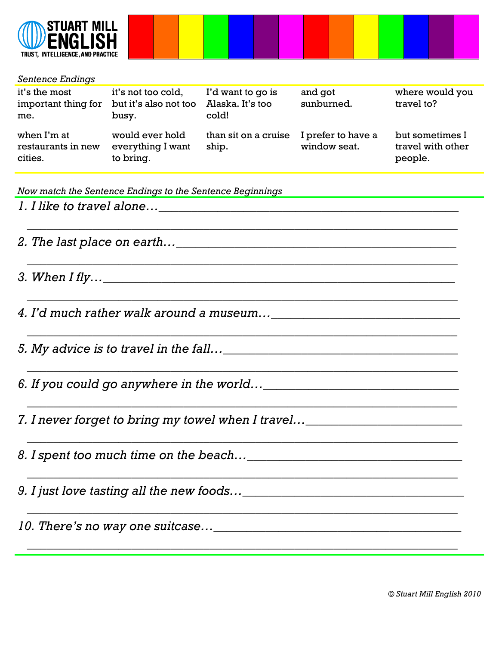

## *Sentence Endings*

| it's the most<br>important thing for<br>me.  | it's not too cold,<br>but it's also not too<br>busy. | I'd want to go is<br>Alaska. It's too<br>cold! | and got<br>sunburned.              | where would you<br>travel to?                   |
|----------------------------------------------|------------------------------------------------------|------------------------------------------------|------------------------------------|-------------------------------------------------|
| when I'm at<br>restaurants in new<br>cities. | would ever hold<br>everything I want<br>to bring.    | than sit on a cruise<br>ship.                  | I prefer to have a<br>window seat. | but sometimes I<br>travel with other<br>people. |

 *\_\_\_\_\_\_\_\_\_\_\_\_\_\_\_\_\_\_\_\_\_\_\_\_\_\_\_\_\_\_\_\_\_\_\_\_\_\_\_\_\_\_\_\_\_\_\_\_\_\_\_\_\_\_\_\_\_\_\_\_\_\_\_\_\_\_*

 *\_\_\_\_\_\_\_\_\_\_\_\_\_\_\_\_\_\_\_\_\_\_\_\_\_\_\_\_\_\_\_\_\_\_\_\_\_\_\_\_\_\_\_\_\_\_\_\_\_\_\_\_\_\_\_\_\_\_\_\_\_\_\_\_\_\_*

 *\_\_\_\_\_\_\_\_\_\_\_\_\_\_\_\_\_\_\_\_\_\_\_\_\_\_\_\_\_\_\_\_\_\_\_\_\_\_\_\_\_\_\_\_\_\_\_\_\_\_\_\_\_\_\_\_\_\_\_\_\_\_\_\_\_\_*

 *\_\_\_\_\_\_\_\_\_\_\_\_\_\_\_\_\_\_\_\_\_\_\_\_\_\_\_\_\_\_\_\_\_\_\_\_\_\_\_\_\_\_\_\_\_\_\_\_\_\_\_\_\_\_\_\_\_\_\_\_\_\_\_\_\_\_*

 *\_\_\_\_\_\_\_\_\_\_\_\_\_\_\_\_\_\_\_\_\_\_\_\_\_\_\_\_\_\_\_\_\_\_\_\_\_\_\_\_\_\_\_\_\_\_\_\_\_\_\_\_\_\_\_\_\_\_\_\_\_\_\_\_\_\_*

 *\_\_\_\_\_\_\_\_\_\_\_\_\_\_\_\_\_\_\_\_\_\_\_\_\_\_\_\_\_\_\_\_\_\_\_\_\_\_\_\_\_\_\_\_\_\_\_\_\_\_\_\_\_\_\_\_\_\_\_\_\_\_\_\_\_\_*

 *\_\_\_\_\_\_\_\_\_\_\_\_\_\_\_\_\_\_\_\_\_\_\_\_\_\_\_\_\_\_\_\_\_\_\_\_\_\_\_\_\_\_\_\_\_\_\_\_\_\_\_\_\_\_\_\_\_\_\_\_\_\_\_\_\_\_*

 *\_\_\_\_\_\_\_\_\_\_\_\_\_\_\_\_\_\_\_\_\_\_\_\_\_\_\_\_\_\_\_\_\_\_\_\_\_\_\_\_\_\_\_\_\_\_\_\_\_\_\_\_\_\_\_\_\_\_\_\_\_\_\_\_\_\_*

*Now match the Sentence Endings to the Sentence Beginnings*

*1. I like to travel alone…\_\_\_\_\_\_\_\_\_\_\_\_\_\_\_\_\_\_\_\_\_\_\_\_\_\_\_\_\_\_\_\_\_\_\_\_\_\_\_\_\_\_\_\_\_\_*

*2. The last place on earth…\_\_\_\_\_\_\_\_\_\_\_\_\_\_\_\_\_\_\_\_\_\_\_\_\_\_\_\_\_\_\_\_\_\_\_\_\_\_\_\_\_\_\_*

*3. When I fly…\_\_\_\_\_\_\_\_\_\_\_\_\_\_\_\_\_\_\_\_\_\_\_\_\_\_\_\_\_\_\_\_\_\_\_\_\_\_\_\_\_\_\_\_\_\_\_\_\_\_\_\_\_\_*

*4. I'd much rather walk around a museum…\_\_\_\_\_\_\_\_\_\_\_\_\_\_\_\_\_\_\_\_\_\_\_\_\_\_\_\_\_*

*5. My advice is to travel in the fall…\_\_\_\_\_\_\_\_\_\_\_\_\_\_\_\_\_\_\_\_\_\_\_\_\_\_\_\_\_\_\_\_\_\_\_\_*

*6. If you could go anywhere in the world…\_\_\_\_\_\_\_\_\_\_\_\_\_\_\_\_\_\_\_\_\_\_\_\_\_\_\_\_\_\_*

*7. I never forget to bring my towel when I travel…\_\_\_\_\_\_\_\_\_\_\_\_\_\_\_\_\_\_\_\_\_\_\_\_*

*8. I spent too much time on the beach…\_\_\_\_\_\_\_\_\_\_\_\_\_\_\_\_\_\_\_\_\_\_\_\_\_\_\_\_\_\_\_\_\_*

*9. I just love tasting all the new foods…\_\_\_\_\_\_\_\_\_\_\_\_\_\_\_\_\_\_\_\_\_\_\_\_\_\_\_\_\_\_\_\_\_\_*

*10. There's no way one suitcase…\_\_\_\_\_\_\_\_\_\_\_\_\_\_\_\_\_\_\_\_\_\_\_\_\_\_\_\_\_\_\_\_\_\_\_\_\_\_*

 *\_\_\_\_\_\_\_\_\_\_\_\_\_\_\_\_\_\_\_\_\_\_\_\_\_\_\_\_\_\_\_\_\_\_\_\_\_\_\_\_\_\_\_\_\_\_\_\_\_\_\_\_\_\_\_\_\_\_\_\_\_\_\_\_\_\_*

 *\_\_\_\_\_\_\_\_\_\_\_\_\_\_\_\_\_\_\_\_\_\_\_\_\_\_\_\_\_\_\_\_\_\_\_\_\_\_\_\_\_\_\_\_\_\_\_\_\_\_\_\_\_\_\_\_\_\_\_\_\_\_\_\_\_\_*